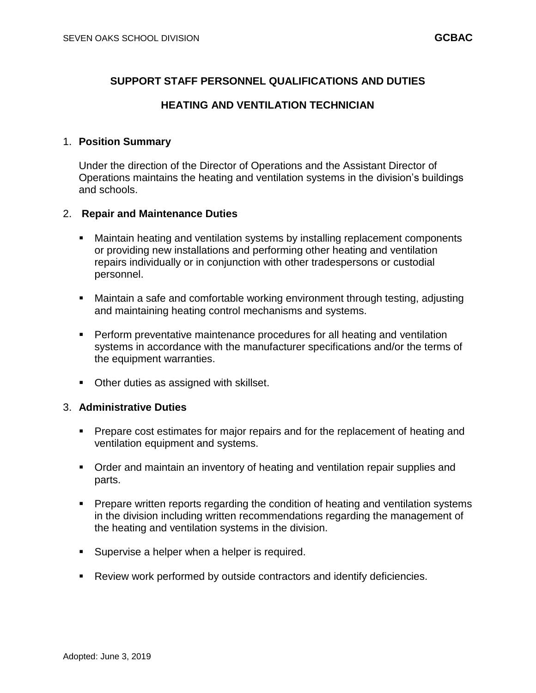# **SUPPORT STAFF PERSONNEL QUALIFICATIONS AND DUTIES**

## **HEATING AND VENTILATION TECHNICIAN**

## 1. **Position Summary**

Under the direction of the Director of Operations and the Assistant Director of Operations maintains the heating and ventilation systems in the division's buildings and schools.

## 2. **Repair and Maintenance Duties**

- Maintain heating and ventilation systems by installing replacement components or providing new installations and performing other heating and ventilation repairs individually or in conjunction with other tradespersons or custodial personnel.
- Maintain a safe and comfortable working environment through testing, adjusting and maintaining heating control mechanisms and systems.
- Perform preventative maintenance procedures for all heating and ventilation systems in accordance with the manufacturer specifications and/or the terms of the equipment warranties.
- Other duties as assigned with skillset.

#### 3. **Administrative Duties**

- Prepare cost estimates for major repairs and for the replacement of heating and ventilation equipment and systems.
- Order and maintain an inventory of heating and ventilation repair supplies and parts.
- Prepare written reports regarding the condition of heating and ventilation systems in the division including written recommendations regarding the management of the heating and ventilation systems in the division.
- **Supervise a helper when a helper is required.**
- Review work performed by outside contractors and identify deficiencies.